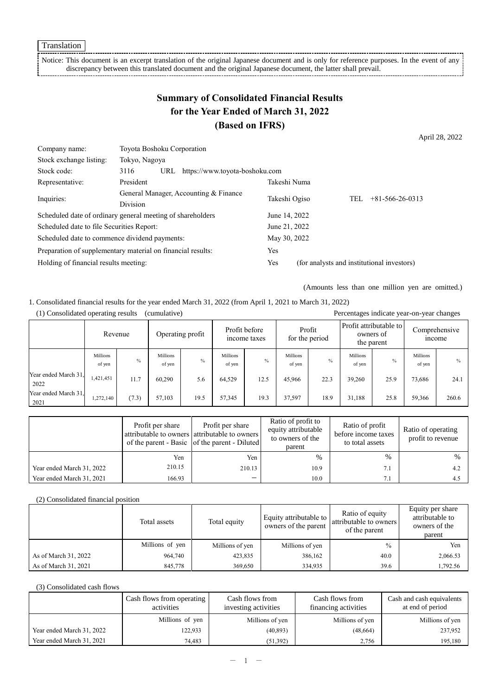Translation

Notice: This document is an excerpt translation of the original Japanese document and is only for reference purposes. In the event of any discrepancy between this translated document and the original Japanese document, the latter shall prevail.

# **Summary of Consolidated Financial Results for the Year Ended of March 31, 2022 (Based on IFRS)**

April 28, 2022

| Company name:                                               | Toyota Boshoku Corporation                               |     |                                |               |                                            |                         |
|-------------------------------------------------------------|----------------------------------------------------------|-----|--------------------------------|---------------|--------------------------------------------|-------------------------|
| Stock exchange listing:                                     | Tokyo, Nagoya                                            |     |                                |               |                                            |                         |
| Stock code:                                                 | 3116                                                     | URL | https://www.toyota-boshoku.com |               |                                            |                         |
| Representative:                                             | President                                                |     |                                | Takeshi Numa  |                                            |                         |
|                                                             | General Manager, Accounting & Finance<br><b>Division</b> |     |                                |               | TEL                                        | $+81 - 566 - 26 - 0313$ |
| Inquiries:                                                  |                                                          |     |                                | Takeshi Ogiso |                                            |                         |
| Scheduled date of ordinary general meeting of shareholders  |                                                          |     |                                | June 14, 2022 |                                            |                         |
| Scheduled date to file Securities Report:                   |                                                          |     |                                | June 21, 2022 |                                            |                         |
| Scheduled date to commence dividend payments:               |                                                          |     |                                | May 30, 2022  |                                            |                         |
| Preparation of supplementary material on financial results: |                                                          |     |                                | Yes           |                                            |                         |
| Holding of financial results meeting:                       |                                                          |     |                                | Yes           | (for analysts and institutional investors) |                         |

(Amounts less than one million yen are omitted.)

1. Consolidated financial results for the year ended March 31, 2022 (from April 1, 2021 to March 31, 2022)

| Percentages indicate year-on-year changes<br>(1) Consolidated operating results<br>(cumulative) |                    |               |                    |                                                   |                           |                          |                    |                                                   |                    |                                |                           |               |
|-------------------------------------------------------------------------------------------------|--------------------|---------------|--------------------|---------------------------------------------------|---------------------------|--------------------------|--------------------|---------------------------------------------------|--------------------|--------------------------------|---------------------------|---------------|
|                                                                                                 |                    | Revenue       |                    | Profit before<br>Operating profit<br>income taxes |                           | Profit<br>for the period |                    | Profit attributable to<br>owners of<br>the parent |                    | Comprehensive<br><i>n</i> come |                           |               |
|                                                                                                 | Millions<br>of yen | $\frac{0}{0}$ | Millions<br>of yen | $\frac{0}{0}$                                     | <b>Millions</b><br>of yen | $\frac{0}{0}$            | Millions<br>of yen | $\frac{0}{0}$                                     | Millions<br>of yen | $\%$                           | <b>Millions</b><br>of yen | $\frac{0}{0}$ |
| Year ended March 31.<br>2022                                                                    | 1,421,451          | 11.7          | 60.290             | 5.6                                               | 64.529                    | 12.5                     | 45,966             | 22.3                                              | 39,260             | 25.9                           | 73,686                    | 24.1          |
| Year ended March 31.<br>2021                                                                    | 1,272,140          | (7.3)         | 57,103             | 19.5                                              | 57,345                    | 19.3                     | 37.597             | 18.9                                              | 31.188             | 25.8                           | 59,366                    | 260.6         |

|                           | Profit per share | Profit per share<br>attributable to owners attributable to owners<br>of the parent - Basic of the parent - Diluted | Ratio of profit to<br>equity attributable<br>to owners of the<br>parent | Ratio of profit<br>before income taxes<br>to total assets | Ratio of operating<br>profit to revenue |
|---------------------------|------------------|--------------------------------------------------------------------------------------------------------------------|-------------------------------------------------------------------------|-----------------------------------------------------------|-----------------------------------------|
|                           | Yen              | Yen                                                                                                                | %                                                                       | $\%$                                                      | $\%$                                    |
| Year ended March 31, 2022 | 210.15           | 210.13                                                                                                             | 10.9                                                                    |                                                           | 4.2                                     |
| Year ended March 31, 2021 | 166.93           | —                                                                                                                  | 10.0                                                                    |                                                           | 4.5                                     |

#### (2) Consolidated financial position

|                      | Total assets    | Total equity    | Equity attributable to<br>owners of the parent | Ratio of equity<br>attributable to owners<br>of the parent | Equity per share<br>attributable to<br>owners of the<br>parent |
|----------------------|-----------------|-----------------|------------------------------------------------|------------------------------------------------------------|----------------------------------------------------------------|
|                      | Millions of yen | Millions of yen | Millions of yen                                | $\frac{0}{0}$                                              | Yen                                                            |
| As of March 31, 2022 | 964,740         | 423,835         | 386,162                                        | 40.0                                                       | 2,066.53                                                       |
| As of March 31, 2021 | 845,778         | 369,650         | 334,935                                        | 39.6                                                       | 1,792.56                                                       |

#### (3) Consolidated cash flows

|                           | Cash flows from operating<br>activities | Cash flows from<br>investing activities | Cash flows from<br>financing activities | Cash and cash equivalents<br>at end of period |
|---------------------------|-----------------------------------------|-----------------------------------------|-----------------------------------------|-----------------------------------------------|
|                           | Millions of yen                         | Millions of yen                         | Millions of yen                         | Millions of yen                               |
| Year ended March 31, 2022 | 122,933                                 | (40, 893)                               | (48, 664)                               | 237,952                                       |
| Year ended March 31, 2021 | 74.483                                  | (51, 392)                               | 2.756                                   | 195,180                                       |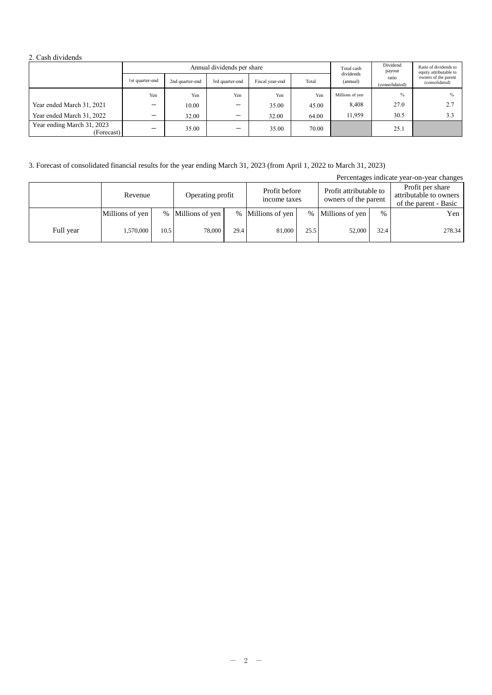#### 2. Cash dividends

|                                          | Annual dividends per share |                 |                          |                 |       | Total cash            | Dividend<br>payout      | Ratio of dividends to<br>equity attributable to |
|------------------------------------------|----------------------------|-----------------|--------------------------|-----------------|-------|-----------------------|-------------------------|-------------------------------------------------|
|                                          | 1st quarter-end            | 2nd quarter-end | 3rd quarter-end          | Fiscal year-end | Total | dividends<br>(annual) | ratio<br>(consolidated) | owners of the parent<br>(consolidated)          |
|                                          | Yen                        | Yen             | Yen                      | Yen             | Yen   | Millions of yen       | $\frac{0}{0}$           | $\frac{0}{0}$                                   |
| Year ended March 31, 2021                | -                          | 10.00           | —                        | 35.00           | 45.00 | 8,408                 | 27.0                    | 2.7                                             |
| Year ended March 31, 2022                |                            | 32.00           | –                        | 32.00           | 64.00 | 11.959                | 30.5                    | 3.3                                             |
| Year ending March 31, 2023<br>(Forecast) | -                          | 35.00           | $\overline{\phantom{m}}$ | 35.00           | 70.00 |                       | 25.1                    |                                                 |

### 3. Forecast of consolidated financial results for the year ending March 31, 2023 (from April 1, 2022 to March 31, 2023)

| Percentages indicate year-on-year changes |                 |      |                   |      |                               |      |                                                |      |                                                                     |  |
|-------------------------------------------|-----------------|------|-------------------|------|-------------------------------|------|------------------------------------------------|------|---------------------------------------------------------------------|--|
|                                           | Revenue         |      | Operating profit  |      | Profit before<br>income taxes |      | Profit attributable to<br>owners of the parent |      | Profit per share<br>attributable to owners<br>of the parent - Basic |  |
|                                           | Millions of yen |      | % Millions of yen |      | % Millions of yen             |      | % Millions of yen                              | $\%$ | Yen                                                                 |  |
| Full year                                 | 1,570,000       | 10.5 | 78,000            | 29.4 | 81,000                        | 25.5 | 52,000                                         | 32.4 | 278.34                                                              |  |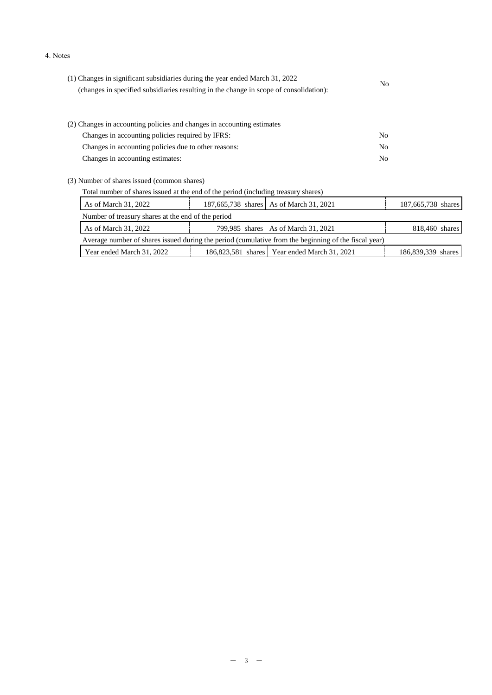#### 4. Notes

| (1) Changes in significant subsidiaries during the year ended March 31, 2022<br>(changes in specified subsidiaries resulting in the change in scope of consolidation): | N <sub>0</sub> |  |
|------------------------------------------------------------------------------------------------------------------------------------------------------------------------|----------------|--|
|                                                                                                                                                                        |                |  |
| (2) Changes in accounting policies and changes in accounting estimates                                                                                                 |                |  |
| Changes in accounting policies required by IFRS:                                                                                                                       | N <sub>0</sub> |  |
| Changes in accounting policies due to other reasons:                                                                                                                   | N <sub>0</sub> |  |
| Changes in accounting estimates:                                                                                                                                       | N <sub>0</sub> |  |
| (3) Number of shares issued (common shares)                                                                                                                            |                |  |
| Total number of shares issued at the end of the period (including treasury shares)                                                                                     |                |  |
|                                                                                                                                                                        |                |  |

| As of March 31, 2022                                                                                 |  | 187,665,738 shares As of March 31, 2021        | 187,665,738 shares |  |  |  |  |  |
|------------------------------------------------------------------------------------------------------|--|------------------------------------------------|--------------------|--|--|--|--|--|
| Number of treasury shares at the end of the period                                                   |  |                                                |                    |  |  |  |  |  |
| As of March 31, 2022                                                                                 |  | 799,985 shares As of March 31, 2021            | 818,460 shares     |  |  |  |  |  |
| Average number of shares issued during the period (cumulative from the beginning of the fiscal year) |  |                                                |                    |  |  |  |  |  |
| Year ended March 31, 2022                                                                            |  | 186,823,581 shares   Year ended March 31, 2021 | 186,839,339 shares |  |  |  |  |  |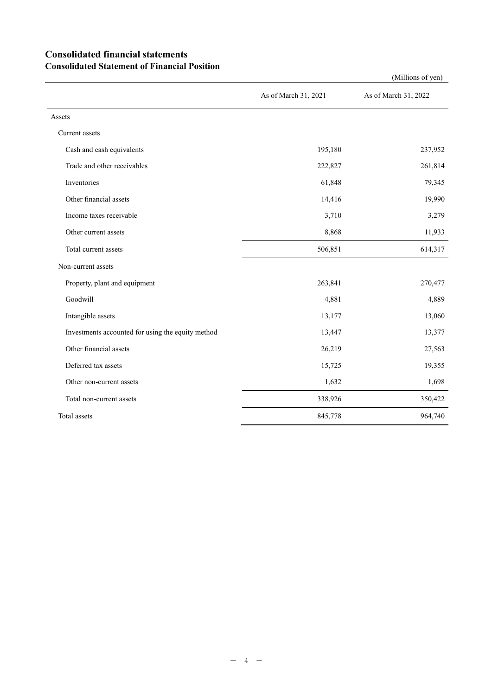# **Consolidated financial statements Consolidated Statement of Financial Position**

|                                                   | As of March 31, 2021 | As of March 31, 2022 |
|---------------------------------------------------|----------------------|----------------------|
| Assets                                            |                      |                      |
| Current assets                                    |                      |                      |
| Cash and cash equivalents                         | 195,180              | 237,952              |
| Trade and other receivables                       | 222,827              | 261,814              |
| Inventories                                       | 61,848               | 79,345               |
| Other financial assets                            | 14,416               | 19,990               |
| Income taxes receivable                           | 3,710                | 3,279                |
| Other current assets                              | 8,868                | 11,933               |
| Total current assets                              | 506,851              | 614,317              |
| Non-current assets                                |                      |                      |
| Property, plant and equipment                     | 263,841              | 270,477              |
| Goodwill                                          | 4,881                | 4,889                |
| Intangible assets                                 | 13,177               | 13,060               |
| Investments accounted for using the equity method | 13,447               | 13,377               |
| Other financial assets                            | 26,219               | 27,563               |
| Deferred tax assets                               | 15,725               | 19,355               |
| Other non-current assets                          | 1,632                | 1,698                |
| Total non-current assets                          | 338,926              | 350,422              |
| Total assets                                      | 845,778              | 964,740              |

(Millions of yen)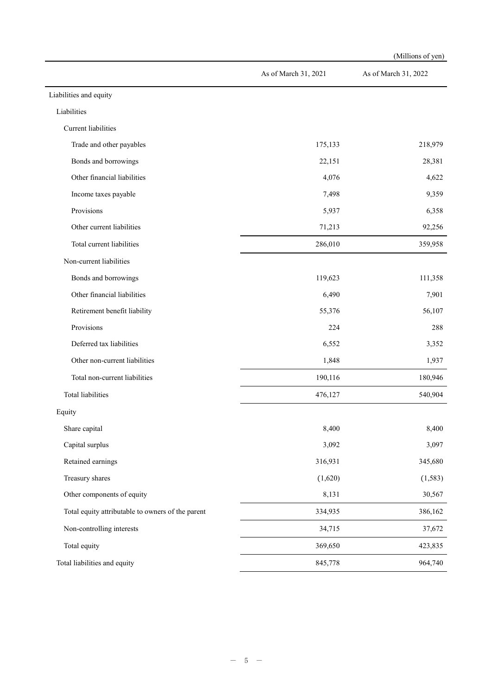|                                                   |                      | (Millions of yen)    |
|---------------------------------------------------|----------------------|----------------------|
|                                                   | As of March 31, 2021 | As of March 31, 2022 |
| Liabilities and equity                            |                      |                      |
| Liabilities                                       |                      |                      |
| Current liabilities                               |                      |                      |
| Trade and other payables                          | 175,133              | 218,979              |
| Bonds and borrowings                              | 22,151               | 28,381               |
| Other financial liabilities                       | 4,076                | 4,622                |
| Income taxes payable                              | 7,498                | 9,359                |
| Provisions                                        | 5,937                | 6,358                |
| Other current liabilities                         | 71,213               | 92,256               |
| Total current liabilities                         | 286,010              | 359,958              |
| Non-current liabilities                           |                      |                      |
| Bonds and borrowings                              | 119,623              | 111,358              |
| Other financial liabilities                       | 6,490                | 7,901                |
| Retirement benefit liability                      | 55,376               | 56,107               |
| Provisions                                        | 224                  | 288                  |
| Deferred tax liabilities                          | 6,552                | 3,352                |
| Other non-current liabilities                     | 1,848                | 1,937                |
| Total non-current liabilities                     | 190,116              | 180,946              |
| Total liabilities                                 | 476,127              | 540,904              |
| Equity                                            |                      |                      |
| Share capital                                     | 8,400                | 8,400                |
| Capital surplus                                   | 3,092                | 3,097                |
| Retained earnings                                 | 316,931              | 345,680              |
| Treasury shares                                   | (1,620)              | (1, 583)             |
| Other components of equity                        | 8,131                | 30,567               |
| Total equity attributable to owners of the parent | 334,935              | 386,162              |
| Non-controlling interests                         | 34,715               | 37,672               |
| Total equity                                      | 369,650              | 423,835              |
| Total liabilities and equity                      | 845,778              | 964,740              |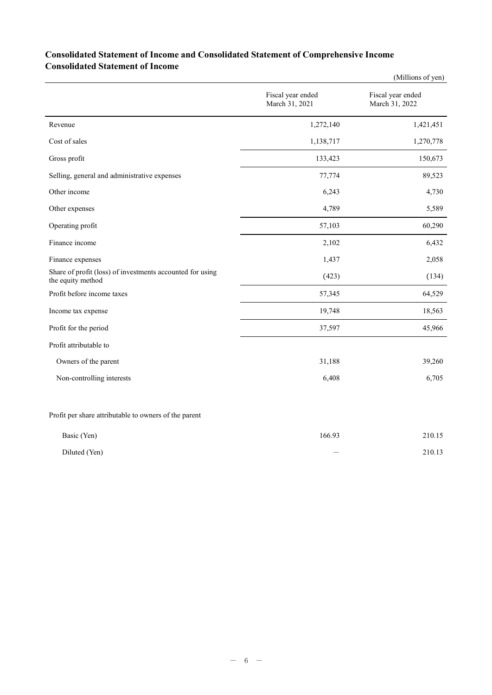## **Consolidated Statement of Income and Consolidated Statement of Comprehensive Income Consolidated Statement of Income**

|                                                                                |                                     | (Millions of yen)                   |
|--------------------------------------------------------------------------------|-------------------------------------|-------------------------------------|
|                                                                                | Fiscal year ended<br>March 31, 2021 | Fiscal year ended<br>March 31, 2022 |
| Revenue                                                                        | 1,272,140                           | 1,421,451                           |
| Cost of sales                                                                  | 1,138,717                           | 1,270,778                           |
| Gross profit                                                                   | 133,423                             | 150,673                             |
| Selling, general and administrative expenses                                   | 77,774                              | 89,523                              |
| Other income                                                                   | 6,243                               | 4,730                               |
| Other expenses                                                                 | 4,789                               | 5,589                               |
| Operating profit                                                               | 57,103                              | 60,290                              |
| Finance income                                                                 | 2,102                               | 6,432                               |
| Finance expenses                                                               | 1,437                               | 2,058                               |
| Share of profit (loss) of investments accounted for using<br>the equity method | (423)                               | (134)                               |
| Profit before income taxes                                                     | 57,345                              | 64,529                              |
| Income tax expense                                                             | 19,748                              | 18,563                              |
| Profit for the period                                                          | 37,597                              | 45,966                              |
| Profit attributable to                                                         |                                     |                                     |
| Owners of the parent                                                           | 31,188                              | 39,260                              |
| Non-controlling interests                                                      | 6,408                               | 6,705                               |
|                                                                                |                                     |                                     |

Profit per share attributable to owners of the parent

| Basic (Yen)   | 166.93 | 210.15 |
|---------------|--------|--------|
| Diluted (Yen) |        | 210.13 |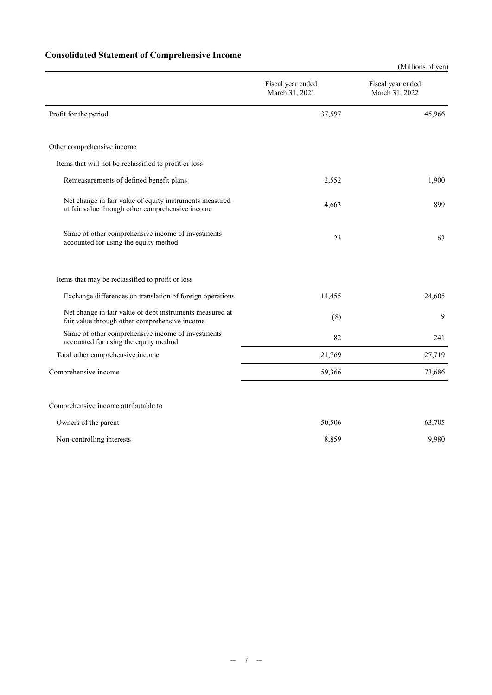# **Consolidated Statement of Comprehensive Income**

|                                                                                                             |                                     | (Millions of yen)                   |
|-------------------------------------------------------------------------------------------------------------|-------------------------------------|-------------------------------------|
|                                                                                                             | Fiscal year ended<br>March 31, 2021 | Fiscal year ended<br>March 31, 2022 |
| Profit for the period                                                                                       | 37,597                              | 45,966                              |
| Other comprehensive income                                                                                  |                                     |                                     |
| Items that will not be reclassified to profit or loss                                                       |                                     |                                     |
| Remeasurements of defined benefit plans                                                                     | 2,552                               | 1,900                               |
| Net change in fair value of equity instruments measured<br>at fair value through other comprehensive income | 4,663                               | 899                                 |
| Share of other comprehensive income of investments<br>accounted for using the equity method                 | 23                                  | 63                                  |
| Items that may be reclassified to profit or loss                                                            |                                     |                                     |
| Exchange differences on translation of foreign operations                                                   | 14,455                              | 24,605                              |
| Net change in fair value of debt instruments measured at<br>fair value through other comprehensive income   | (8)                                 | 9                                   |
| Share of other comprehensive income of investments<br>accounted for using the equity method                 | 82                                  | 241                                 |
| Total other comprehensive income                                                                            | 21,769                              | 27,719                              |
| Comprehensive income                                                                                        | 59,366                              | 73,686                              |
| Comprehensive income attributable to                                                                        |                                     |                                     |
| Owners of the parent                                                                                        | 50,506                              | 63,705                              |

| Non-controlling interests | 8.859 | ,980 |
|---------------------------|-------|------|
|                           |       |      |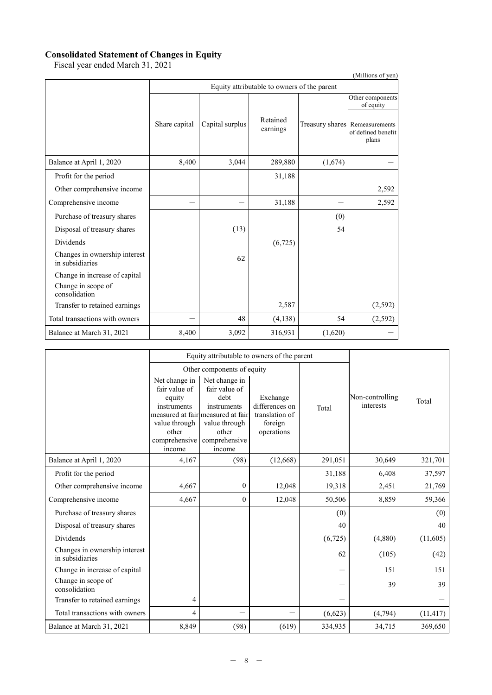#### **Consolidated Statement of Changes in Equity**

Fiscal year ended March 31, 2021

| (Millions of yen)                                |               |                                             |                      |         |                                                                                       |  |  |  |
|--------------------------------------------------|---------------|---------------------------------------------|----------------------|---------|---------------------------------------------------------------------------------------|--|--|--|
|                                                  |               | Equity attributable to owners of the parent |                      |         |                                                                                       |  |  |  |
|                                                  | Share capital | Capital surplus                             | Retained<br>earnings |         | Other components<br>of equity<br>Treasury shares Remeasurements<br>of defined benefit |  |  |  |
|                                                  |               |                                             |                      |         | plans                                                                                 |  |  |  |
| Balance at April 1, 2020                         | 8,400         | 3,044                                       | 289,880              | (1,674) |                                                                                       |  |  |  |
| Profit for the period                            |               |                                             | 31,188               |         |                                                                                       |  |  |  |
| Other comprehensive income                       |               |                                             |                      |         | 2,592                                                                                 |  |  |  |
| Comprehensive income                             |               |                                             | 31,188               |         | 2,592                                                                                 |  |  |  |
| Purchase of treasury shares                      |               |                                             |                      | (0)     |                                                                                       |  |  |  |
| Disposal of treasury shares                      |               | (13)                                        |                      | 54      |                                                                                       |  |  |  |
| <b>Dividends</b>                                 |               |                                             | (6,725)              |         |                                                                                       |  |  |  |
| Changes in ownership interest<br>in subsidiaries |               | 62                                          |                      |         |                                                                                       |  |  |  |
| Change in increase of capital                    |               |                                             |                      |         |                                                                                       |  |  |  |
| Change in scope of<br>consolidation              |               |                                             |                      |         |                                                                                       |  |  |  |
| Transfer to retained earnings                    |               |                                             | 2,587                |         | (2, 592)                                                                              |  |  |  |
| Total transactions with owners                   |               | 48                                          | (4,138)              | 54      | (2, 592)                                                                              |  |  |  |
| Balance at March 31, 2021                        | 8,400         | 3,092                                       | 316,931              | (1,620) |                                                                                       |  |  |  |

|                                                  | Equity attributable to owners of the parent                                                                  |                                                                                                                                                 |                                                                       |         |                              |           |
|--------------------------------------------------|--------------------------------------------------------------------------------------------------------------|-------------------------------------------------------------------------------------------------------------------------------------------------|-----------------------------------------------------------------------|---------|------------------------------|-----------|
|                                                  |                                                                                                              | Other components of equity                                                                                                                      |                                                                       |         |                              |           |
|                                                  | Net change in<br>fair value of<br>equity<br>instruments<br>value through<br>other<br>comprehensive<br>income | Net change in<br>fair value of<br>debt<br>instruments<br>measured at fair measured at fair<br>value through<br>other<br>comprehensive<br>income | Exchange<br>differences on<br>translation of<br>foreign<br>operations | Total   | Non-controlling<br>interests | Total     |
| Balance at April 1, 2020                         | 4,167                                                                                                        | (98)                                                                                                                                            | (12,668)                                                              | 291,051 | 30,649                       | 321,701   |
| Profit for the period                            |                                                                                                              |                                                                                                                                                 |                                                                       | 31,188  | 6,408                        | 37,597    |
| Other comprehensive income                       | 4,667                                                                                                        | $\mathbf{0}$                                                                                                                                    | 12,048                                                                | 19,318  | 2,451                        | 21,769    |
| Comprehensive income                             | 4,667                                                                                                        | $\mathbf{0}$                                                                                                                                    | 12,048                                                                | 50,506  | 8,859                        | 59,366    |
| Purchase of treasury shares                      |                                                                                                              |                                                                                                                                                 |                                                                       | (0)     |                              | (0)       |
| Disposal of treasury shares                      |                                                                                                              |                                                                                                                                                 |                                                                       | 40      |                              | 40        |
| <b>Dividends</b>                                 |                                                                                                              |                                                                                                                                                 |                                                                       | (6,725) | (4,880)                      | (11,605)  |
| Changes in ownership interest<br>in subsidiaries |                                                                                                              |                                                                                                                                                 |                                                                       | 62      | (105)                        | (42)      |
| Change in increase of capital                    |                                                                                                              |                                                                                                                                                 |                                                                       |         | 151                          | 151       |
| Change in scope of<br>consolidation              |                                                                                                              |                                                                                                                                                 |                                                                       |         | 39                           | 39        |
| Transfer to retained earnings                    | 4                                                                                                            |                                                                                                                                                 |                                                                       |         |                              |           |
| Total transactions with owners                   | 4                                                                                                            |                                                                                                                                                 |                                                                       | (6,623) | (4,794)                      | (11, 417) |
| Balance at March 31, 2021                        | 8,849                                                                                                        | (98)                                                                                                                                            | (619)                                                                 | 334,935 | 34,715                       | 369,650   |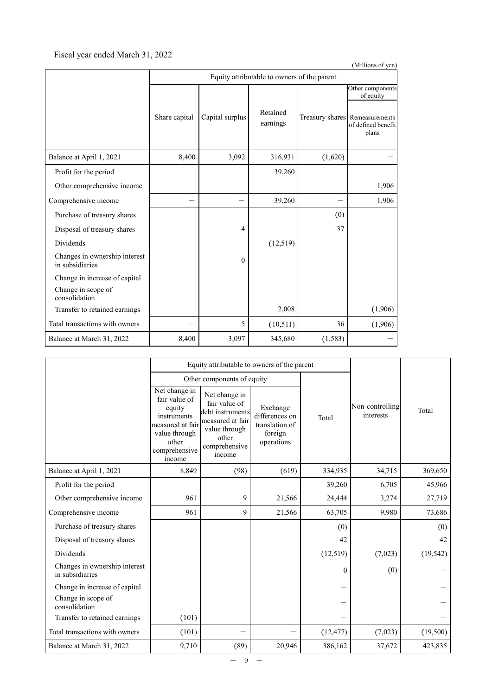## Fiscal year ended March 31, 2022

|                                                  | (Millions of yen) |                 |                                             |          |                                                               |  |  |
|--------------------------------------------------|-------------------|-----------------|---------------------------------------------|----------|---------------------------------------------------------------|--|--|
|                                                  |                   |                 | Equity attributable to owners of the parent |          |                                                               |  |  |
|                                                  |                   |                 |                                             |          | Other components<br>of equity                                 |  |  |
|                                                  | Share capital     | Capital surplus | Retained<br>earnings                        |          | Treasury shares Remeasurements<br>of defined benefit<br>plans |  |  |
| Balance at April 1, 2021                         | 8,400             | 3,092           | 316,931                                     | (1,620)  |                                                               |  |  |
| Profit for the period                            |                   |                 | 39,260                                      |          |                                                               |  |  |
| Other comprehensive income                       |                   |                 |                                             |          | 1,906                                                         |  |  |
| Comprehensive income                             |                   |                 | 39,260                                      |          | 1,906                                                         |  |  |
| Purchase of treasury shares                      |                   |                 |                                             | (0)      |                                                               |  |  |
| Disposal of treasury shares                      |                   | $\overline{4}$  |                                             | 37       |                                                               |  |  |
| <b>Dividends</b>                                 |                   |                 | (12,519)                                    |          |                                                               |  |  |
| Changes in ownership interest<br>in subsidiaries |                   | $\Omega$        |                                             |          |                                                               |  |  |
| Change in increase of capital                    |                   |                 |                                             |          |                                                               |  |  |
| Change in scope of<br>consolidation              |                   |                 |                                             |          |                                                               |  |  |
| Transfer to retained earnings                    |                   |                 | 2,008                                       |          | (1,906)                                                       |  |  |
| Total transactions with owners                   |                   | 5               | (10,511)                                    | 36       | (1,906)                                                       |  |  |
| Balance at March 31, 2022                        | 8,400             | 3,097           | 345,680                                     | (1, 583) |                                                               |  |  |

|                                                  |                                                                                                                                  | Equity attributable to owners of the parent                                                                                 |                                                                       |              |                              |           |
|--------------------------------------------------|----------------------------------------------------------------------------------------------------------------------------------|-----------------------------------------------------------------------------------------------------------------------------|-----------------------------------------------------------------------|--------------|------------------------------|-----------|
|                                                  |                                                                                                                                  | Other components of equity                                                                                                  |                                                                       |              |                              |           |
|                                                  | Net change in<br>fair value of<br>equity<br>instruments<br>measured at fair<br>value through<br>other<br>comprehensive<br>income | Net change in<br>fair value of<br>debt instruments<br>measured at fair<br>value through<br>other<br>comprehensive<br>income | Exchange<br>differences on<br>translation of<br>foreign<br>operations | Total        | Non-controlling<br>interests | Total     |
| Balance at April 1, 2021                         | 8,849                                                                                                                            | (98)                                                                                                                        | (619)                                                                 | 334,935      | 34,715                       | 369,650   |
| Profit for the period                            |                                                                                                                                  |                                                                                                                             |                                                                       | 39,260       | 6,705                        | 45,966    |
| Other comprehensive income                       | 961                                                                                                                              | 9                                                                                                                           | 21,566                                                                | 24,444       | 3,274                        | 27,719    |
| Comprehensive income                             | 961                                                                                                                              | 9                                                                                                                           | 21,566                                                                | 63,705       | 9,980                        | 73,686    |
| Purchase of treasury shares                      |                                                                                                                                  |                                                                                                                             |                                                                       | (0)          |                              | (0)       |
| Disposal of treasury shares                      |                                                                                                                                  |                                                                                                                             |                                                                       | 42           |                              | 42        |
| Dividends                                        |                                                                                                                                  |                                                                                                                             |                                                                       | (12,519)     | (7,023)                      | (19, 542) |
| Changes in ownership interest<br>in subsidiaries |                                                                                                                                  |                                                                                                                             |                                                                       | $\mathbf{0}$ | (0)                          |           |
| Change in increase of capital                    |                                                                                                                                  |                                                                                                                             |                                                                       |              |                              |           |
| Change in scope of<br>consolidation              |                                                                                                                                  |                                                                                                                             |                                                                       |              |                              |           |
| Transfer to retained earnings                    | (101)                                                                                                                            |                                                                                                                             |                                                                       |              |                              |           |
| Total transactions with owners                   | (101)                                                                                                                            |                                                                                                                             |                                                                       | (12, 477)    | (7,023)                      | (19,500)  |
| Balance at March 31, 2022                        | 9,710                                                                                                                            | (89)                                                                                                                        | 20,946                                                                | 386,162      | 37,672                       | 423,835   |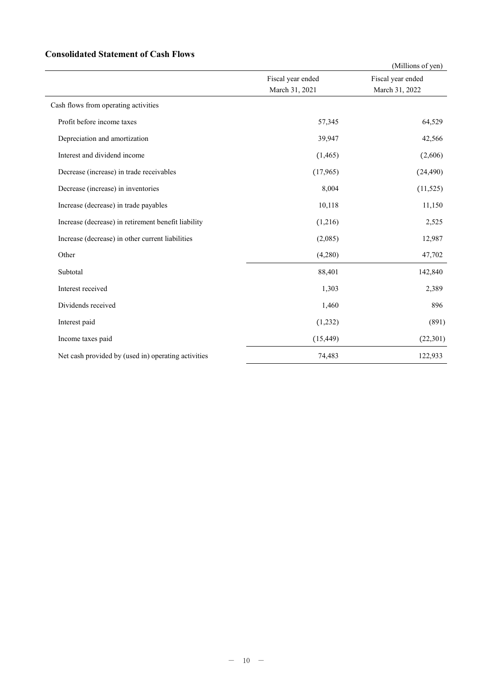## **Consolidated Statement of Cash Flows**

|                                                     |                   | (Millions of yen) |
|-----------------------------------------------------|-------------------|-------------------|
|                                                     | Fiscal year ended | Fiscal year ended |
|                                                     | March 31, 2021    | March 31, 2022    |
| Cash flows from operating activities                |                   |                   |
| Profit before income taxes                          | 57,345            | 64,529            |
| Depreciation and amortization                       | 39,947            | 42,566            |
| Interest and dividend income                        | (1, 465)          | (2,606)           |
| Decrease (increase) in trade receivables            | (17,965)          | (24, 490)         |
| Decrease (increase) in inventories                  | 8,004             | (11, 525)         |
| Increase (decrease) in trade payables               | 10,118            | 11,150            |
| Increase (decrease) in retirement benefit liability | (1,216)           | 2,525             |
| Increase (decrease) in other current liabilities    | (2,085)           | 12,987            |
| Other                                               | (4,280)           | 47,702            |
| Subtotal                                            | 88,401            | 142,840           |
| Interest received                                   | 1,303             | 2,389             |
| Dividends received                                  | 1,460             | 896               |
| Interest paid                                       | (1,232)           | (891)             |
| Income taxes paid                                   | (15, 449)         | (22,301)          |
| Net cash provided by (used in) operating activities | 74,483            | 122,933           |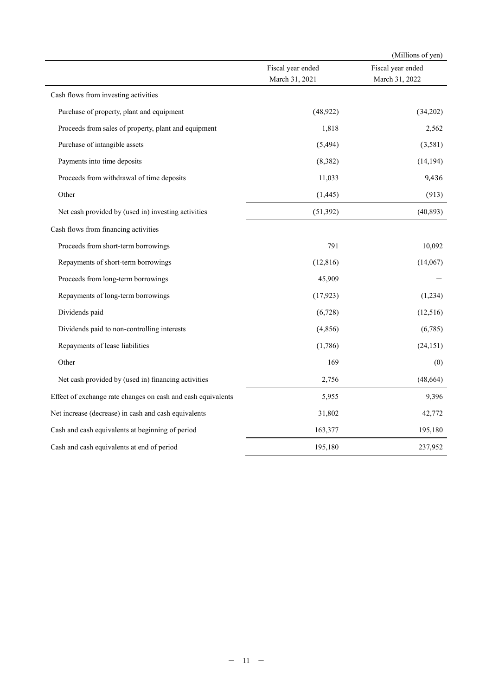|                                                              |                                     | (Millions of yen)                   |
|--------------------------------------------------------------|-------------------------------------|-------------------------------------|
|                                                              | Fiscal year ended<br>March 31, 2021 | Fiscal year ended<br>March 31, 2022 |
| Cash flows from investing activities                         |                                     |                                     |
| Purchase of property, plant and equipment                    | (48, 922)                           | (34,202)                            |
| Proceeds from sales of property, plant and equipment         | 1,818                               | 2,562                               |
| Purchase of intangible assets                                | (5, 494)                            | (3,581)                             |
| Payments into time deposits                                  | (8, 382)                            | (14, 194)                           |
| Proceeds from withdrawal of time deposits                    | 11,033                              | 9,436                               |
| Other                                                        | (1, 445)                            | (913)                               |
| Net cash provided by (used in) investing activities          | (51, 392)                           | (40, 893)                           |
| Cash flows from financing activities                         |                                     |                                     |
| Proceeds from short-term borrowings                          | 791                                 | 10,092                              |
| Repayments of short-term borrowings                          | (12, 816)                           | (14,067)                            |
| Proceeds from long-term borrowings                           | 45,909                              |                                     |
| Repayments of long-term borrowings                           | (17, 923)                           | (1,234)                             |
| Dividends paid                                               | (6,728)                             | (12,516)                            |
| Dividends paid to non-controlling interests                  | (4, 856)                            | (6,785)                             |
| Repayments of lease liabilities                              | (1,786)                             | (24, 151)                           |
| Other                                                        | 169                                 | (0)                                 |
| Net cash provided by (used in) financing activities          | 2,756                               | (48, 664)                           |
| Effect of exchange rate changes on cash and cash equivalents | 5,955                               | 9,396                               |
| Net increase (decrease) in cash and cash equivalents         | 31,802                              | 42,772                              |
| Cash and cash equivalents at beginning of period             | 163,377                             | 195,180                             |
| Cash and cash equivalents at end of period                   | 195,180                             | 237,952                             |